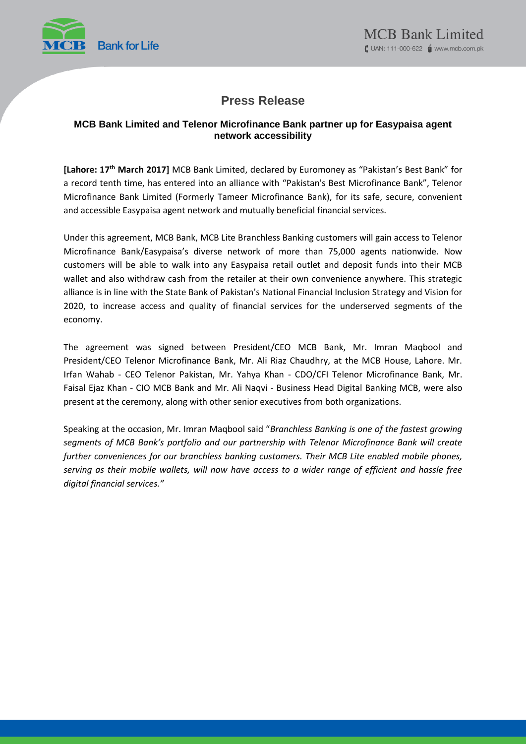

# **Press Release**

# **MCB Bank Limited and Telenor Microfinance Bank partner up for Easypaisa agent network accessibility**

**[Lahore: 17 th March 2017]** MCB Bank Limited, declared by Euromoney as "Pakistan's Best Bank" for a record tenth time, has entered into an alliance with "Pakistan's Best Microfinance Bank", Telenor Microfinance Bank Limited (Formerly Tameer Microfinance Bank), for its safe, secure, convenient and accessible Easypaisa agent network and mutually beneficial financial services.

Under this agreement, MCB Bank, MCB Lite Branchless Banking customers will gain access to Telenor Microfinance Bank/Easypaisa's diverse network of more than 75,000 agents nationwide. Now customers will be able to walk into any Easypaisa retail outlet and deposit funds into their MCB wallet and also withdraw cash from the retailer at their own convenience anywhere. This strategic alliance is in line with the State Bank of Pakistan's National Financial Inclusion Strategy and Vision for 2020, to increase access and quality of financial services for the underserved segments of the economy.

The agreement was signed between President/CEO MCB Bank, Mr. Imran Maqbool and President/CEO Telenor Microfinance Bank, Mr. Ali Riaz Chaudhry, at the MCB House, Lahore. Mr. Irfan Wahab - CEO Telenor Pakistan, Mr. Yahya Khan - CDO/CFI Telenor Microfinance Bank, Mr. Faisal Ejaz Khan - CIO MCB Bank and Mr. Ali Naqvi - Business Head Digital Banking MCB, were also present at the ceremony, along with other senior executives from both organizations.

Speaking at the occasion, Mr. Imran Maqbool said "*Branchless Banking is one of the fastest growing segments of MCB Bank's portfolio and our partnership with Telenor Microfinance Bank will create further conveniences for our branchless banking customers. Their MCB Lite enabled mobile phones, serving as their mobile wallets, will now have access to a wider range of efficient and hassle free digital financial services."*